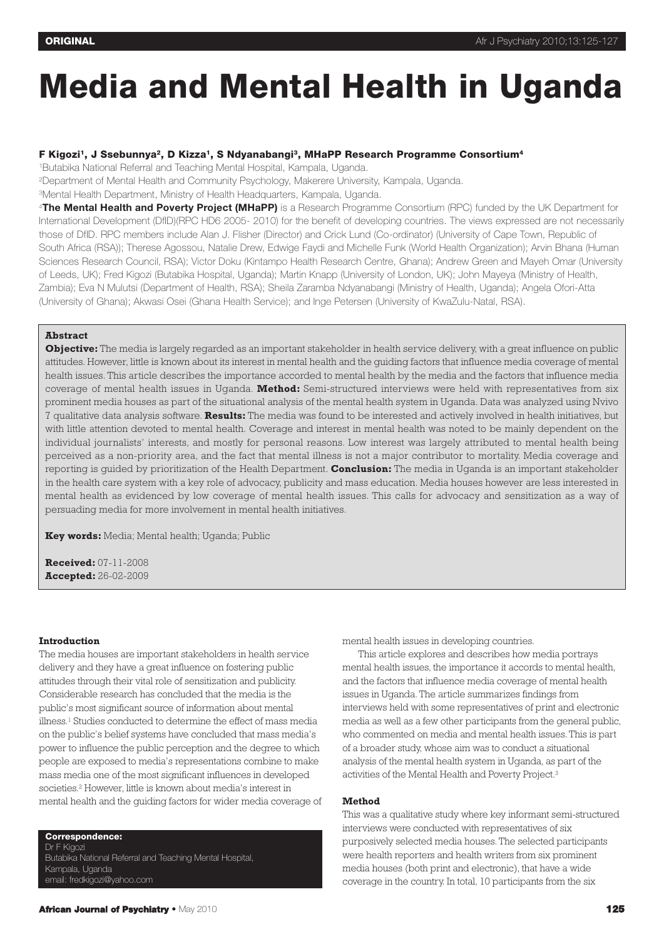# **Media and Mental Health in Uganda**

## **F Kigozi1, J Ssebunnya2, D Kizza1, S Ndyanabangi3, MHaPP Research Programme Consortium4**

1Butabika National Referral and Teaching Mental Hospital, Kampala, Uganda.

2Department of Mental Health and Community Psychology, Makerere University, Kampala, Uganda.

3Mental Health Department, Ministry of Health Headquarters, Kampala, Uganda.

<sup>4</sup>**The Mental Health and Poverty Project (MHaPP)** is a Research Programme Consortium (RPC) funded by the UK Department for International Development (DfID)(RPC HD6 2005- 2010) for the benefit of developing countries. The views expressed are not necessarily those of DfID. RPC members include Alan J. Flisher (Director) and Crick Lund (Co-ordinator) (University of Cape Town, Republic of South Africa (RSA)); Therese Agossou, Natalie Drew, Edwige Faydi and Michelle Funk (World Health Organization); Arvin Bhana (Human Sciences Research Council, RSA); Victor Doku (Kintampo Health Research Centre, Ghana); Andrew Green and Mayeh Omar (University of Leeds, UK); Fred Kigozi (Butabika Hospital, Uganda); Martin Knapp (University of London, UK); John Mayeya (Ministry of Health, Zambia); Eva N Mulutsi (Department of Health, RSA); Sheila Zaramba Ndyanabangi (Ministry of Health, Uganda); Angela Ofori-Atta (University of Ghana); Akwasi Osei (Ghana Health Service); and Inge Petersen (University of KwaZulu-Natal, RSA).

# **Abstract**

**Objective:** The media is largely regarded as an important stakeholder in health service delivery, with a great influence on public attitudes. However, little is known about its interest in mental health and the guiding factors that influence media coverage of mental health issues. This article describes the importance accorded to mental health by the media and the factors that influence media coverage of mental health issues in Uganda. **Method:** Semi-structured interviews were held with representatives from six prominent media houses as part of the situational analysis of the mental health system in Uganda. Data was analyzed using Nvivo 7 qualitative data analysis software. **Results:** The media was found to be interested and actively involved in health initiatives, but with little attention devoted to mental health. Coverage and interest in mental health was noted to be mainly dependent on the individual journalists' interests, and mostly for personal reasons. Low interest was largely attributed to mental health being perceived as a non-priority area, and the fact that mental illness is not a major contributor to mortality. Media coverage and reporting is guided by prioritization of the Health Department. **Conclusion:** The media in Uganda is an important stakeholder in the health care system with a key role of advocacy, publicity and mass education. Media houses however are less interested in mental health as evidenced by low coverage of mental health issues. This calls for advocacy and sensitization as a way of persuading media for more involvement in mental health initiatives.

**Key words:** Media; Mental health; Uganda; Public

**Received:** 07-11-2008 **Accepted:** 26-02-2009

#### **Introduction**

The media houses are important stakeholders in health service delivery and they have a great influence on fostering public attitudes through their vital role of sensitization and publicity. Considerable research has concluded that the media is the public's most significant source of information about mental illness. <sup>1</sup> Studies conducted to determine the effect of mass media on the public's belief systems have concluded that mass media's power to influence the public perception and the degree to which people are exposed to media's representations combine to make mass media one of the most significant influences in developed societies. <sup>2</sup> However, little is known about media's interest in mental health and the guiding factors for wider media coverage of

**Correspondence:**

Dr F Kigozi Butabika National Referral and Teaching Mental Hospital, Kampala, Uganda email: fredkigozi@yahoo.com

mental health issues in developing countries.

This article explores and describes how media portrays mental health issues, the importance it accords to mental health, and the factors that influence media coverage of mental health issues in Uganda. The article summarizes findings from interviews held with some representatives of print and electronic media as well as a few other participants from the general public, who commented on media and mental health issues. This is part of a broader study, whose aim was to conduct a situational analysis of the mental health system in Uganda, as part of the activities of the Mental Health and Poverty Project. 3

## **Method**

This was a qualitative study where key informant semi-structured interviews were conducted with representatives of six purposively selected media houses. The selected participants were health reporters and health writers from six prominent media houses (both print and electronic), that have a wide coverage in the country. In total, 10 participants from the six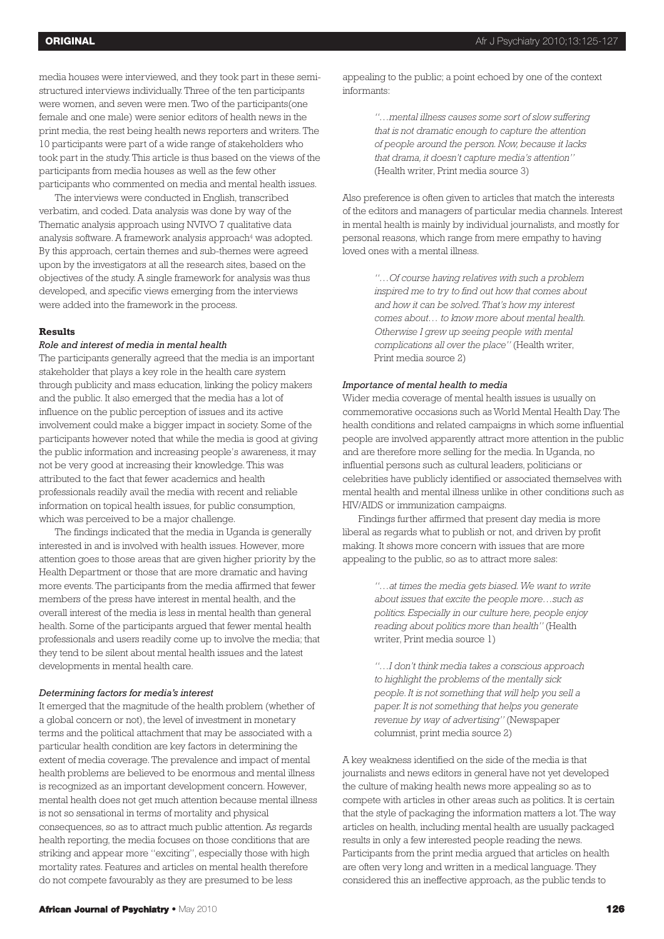media houses were interviewed, and they took part in these semistructured interviews individually. Three of the ten participants were women, and seven were men. Two of the participants(one female and one male) were senior editors of health news in the print media, the rest being health news reporters and writers. The 10 participants were part of a wide range of stakeholders who took part in the study. This article is thus based on the views of the participants from media houses as well as the few other participants who commented on media and mental health issues.

The interviews were conducted in English, transcribed verbatim, and coded. Data analysis was done by way of the Thematic analysis approach using NVIVO 7 qualitative data analysis software. A framework analysis approach<sup>4</sup> was adopted. By this approach, certain themes and sub-themes were agreed upon by the investigators at all the research sites, based on the objectives of the study. A single framework for analysis was thus developed, and specific views emerging from the interviews were added into the framework in the process.

#### **Results**

#### *Role and interest of media in mental health*

The participants generally agreed that the media is an important stakeholder that plays a key role in the health care system through publicity and mass education, linking the policy makers and the public. It also emerged that the media has a lot of influence on the public perception of issues and its active involvement could make a bigger impact in society. Some of the participants however noted that while the media is good at giving the public information and increasing people's awareness, it may not be very good at increasing their knowledge. This was attributed to the fact that fewer academics and health professionals readily avail the media with recent and reliable information on topical health issues, for public consumption, which was perceived to be a major challenge.

The findings indicated that the media in Uganda is generally interested in and is involved with health issues. However, more attention goes to those areas that are given higher priority by the Health Department or those that are more dramatic and having more events. The participants from the media affirmed that fewer members of the press have interest in mental health, and the overall interest of the media is less in mental health than general health. Some of the participants argued that fewer mental health professionals and users readily come up to involve the media; that they tend to be silent about mental health issues and the latest developments in mental health care.

## *Determining factors for media's interest*

It emerged that the magnitude of the health problem (whether of a global concern or not), the level of investment in monetary terms and the political attachment that may be associated with a particular health condition are key factors in determining the extent of media coverage. The prevalence and impact of mental health problems are believed to be enormous and mental illness is recognized as an important development concern. However, mental health does not get much attention because mental illness is not so sensational in terms of mortality and physical consequences, so as to attract much public attention. As regards health reporting, the media focuses on those conditions that are striking and appear more "exciting", especially those with high mortality rates. Features and articles on mental health therefore do not compete favourably as they are presumed to be less

appealing to the public; a point echoed by one of the context informants:

> *"…mental illness causes some sort of slow suffering that is not dramatic enough to capture the attention of people around the person.Now, because it lacks that drama, it doesn't capture media's attention"* (Health writer, Print media source 3)

Also preference is often given to articles that match the interests of the editors and managers of particular media channels. Interest in mental health is mainly by individual journalists, and mostly for personal reasons, which range from mere empathy to having loved ones with a mental illness.

> *"…Of course having relatives with such a problem inspired me to try to find out how that comes about and how it can be solved.That's how my interest comes about… to know more about mental health. Otherwise I grew up seeing people with mental complications all over the place"* (Health writer, Print media source 2)

### *Importance of mental health to media*

Wider media coverage of mental health issues is usually on commemorative occasions such as World Mental Health Day. The health conditions and related campaigns in which some influential people are involved apparently attract more attention in the public and are therefore more selling for the media. In Uganda, no influential persons such as cultural leaders, politicians or celebrities have publicly identified or associated themselves with mental health and mental illness unlike in other conditions such as HIV/AIDS or immunization campaigns.

Findings further affirmed that present day media is more liberal as regards what to publish or not, and driven by profit making. It shows more concern with issues that are more appealing to the public, so as to attract more sales:

> *"…at times the media gets biased.We want to write about issues that excite the people more…such as politics. Especially in our culture here, people enjoy reading about politics more than health"* (Health writer, Print media source 1)

*"…I don't think media takes a conscious approach to highlight the problems of the mentally sick people. It is not something that will help you sell a paper. It is not something that helps you generate revenue by way of advertising"* (Newspaper columnist, print media source 2)

A key weakness identified on the side of the media is that journalists and news editors in general have not yet developed the culture of making health news more appealing so as to compete with articles in other areas such as politics. It is certain that the style of packaging the information matters a lot. The way articles on health, including mental health are usually packaged results in only a few interested people reading the news. Participants from the print media argued that articles on health are often very long and written in a medical language. They considered this an ineffective approach, as the public tends to